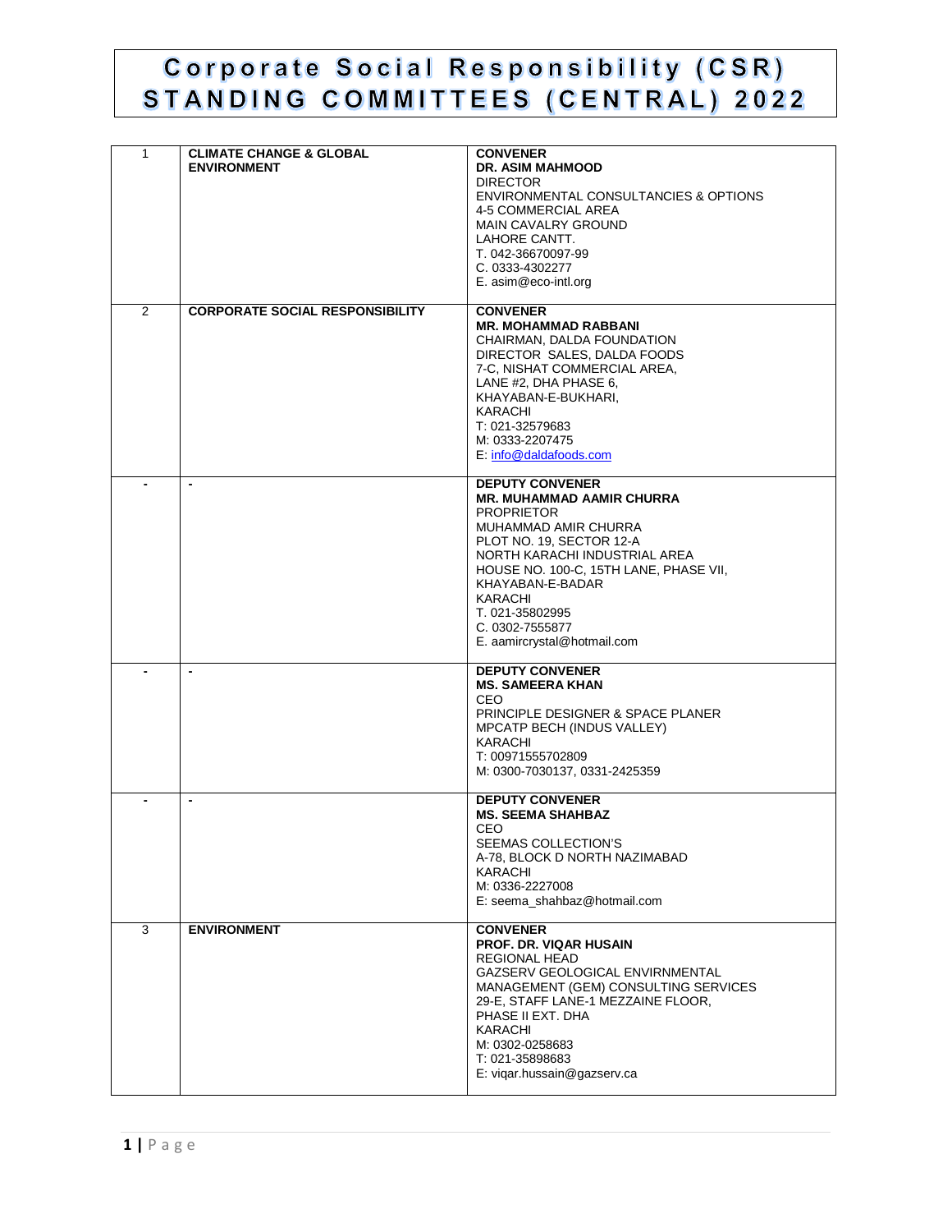## Corporate Social Responsibility (CSR) STANDING COMMITTEES (CENTRAL) 2022

| $\mathbf{1}$ | <b>CLIMATE CHANGE &amp; GLOBAL</b><br><b>ENVIRONMENT</b> | <b>CONVENER</b><br><b>DR. ASIM MAHMOOD</b><br><b>DIRECTOR</b><br>ENVIRONMENTAL CONSULTANCIES & OPTIONS<br>4-5 COMMERCIAL AREA<br><b>MAIN CAVALRY GROUND</b><br>LAHORE CANTT.<br>T. 042-36670097-99<br>C. 0333-4302277<br>E. asim@eco-intl.org                                                                      |
|--------------|----------------------------------------------------------|--------------------------------------------------------------------------------------------------------------------------------------------------------------------------------------------------------------------------------------------------------------------------------------------------------------------|
| 2            | <b>CORPORATE SOCIAL RESPONSIBILITY</b>                   | <b>CONVENER</b><br><b>MR. MOHAMMAD RABBANI</b><br>CHAIRMAN, DALDA FOUNDATION<br>DIRECTOR SALES, DALDA FOODS<br>7-C, NISHAT COMMERCIAL AREA,<br>LANE #2, DHA PHASE 6,<br>KHAYABAN-E-BUKHARI,<br>KARACHI<br>T: 021-32579683<br>M: 0333-2207475<br>E. info@daldafoods.com                                             |
|              | $\blacksquare$                                           | <b>DEPUTY CONVENER</b><br><b>MR. MUHAMMAD AAMIR CHURRA</b><br><b>PROPRIETOR</b><br>MUHAMMAD AMIR CHURRA<br>PLOT NO. 19, SECTOR 12-A<br>NORTH KARACHI INDUSTRIAL AREA<br>HOUSE NO. 100-C, 15TH LANE, PHASE VII,<br>KHAYABAN-E-BADAR<br>KARACHI<br>T. 021-35802995<br>C. 0302-7555877<br>E. aamircrystal@hotmail.com |
|              |                                                          | <b>DEPUTY CONVENER</b><br><b>MS. SAMEERA KHAN</b><br>CEO.<br>PRINCIPLE DESIGNER & SPACE PLANER<br>MPCATP BECH (INDUS VALLEY)<br>KARACHI<br>T: 00971555702809<br>M: 0300-7030137, 0331-2425359                                                                                                                      |
|              | $\qquad \qquad \blacksquare$                             | <b>DEPUTY CONVENER</b><br><b>MS. SEEMA SHAHBAZ</b><br><b>CEO</b><br>SEEMAS COLLECTION'S<br>A-78, BLOCK D NORTH NAZIMABAD<br>KARACHI<br>M: 0336-2227008<br>E: seema_shahbaz@hotmail.com                                                                                                                             |
| 3            | <b>ENVIRONMENT</b>                                       | <b>CONVENER</b><br><b>PROF. DR. VIQAR HUSAIN</b><br>REGIONAL HEAD<br>GAZSERV GEOLOGICAL ENVIRNMENTAL<br>MANAGEMENT (GEM) CONSULTING SERVICES<br>29-E, STAFF LANE-1 MEZZAINE FLOOR,<br>PHASE II EXT. DHA<br>KARACHI<br>M: 0302-0258683<br>T: 021-35898683<br>E: viqar.hussain@gazserv.ca                            |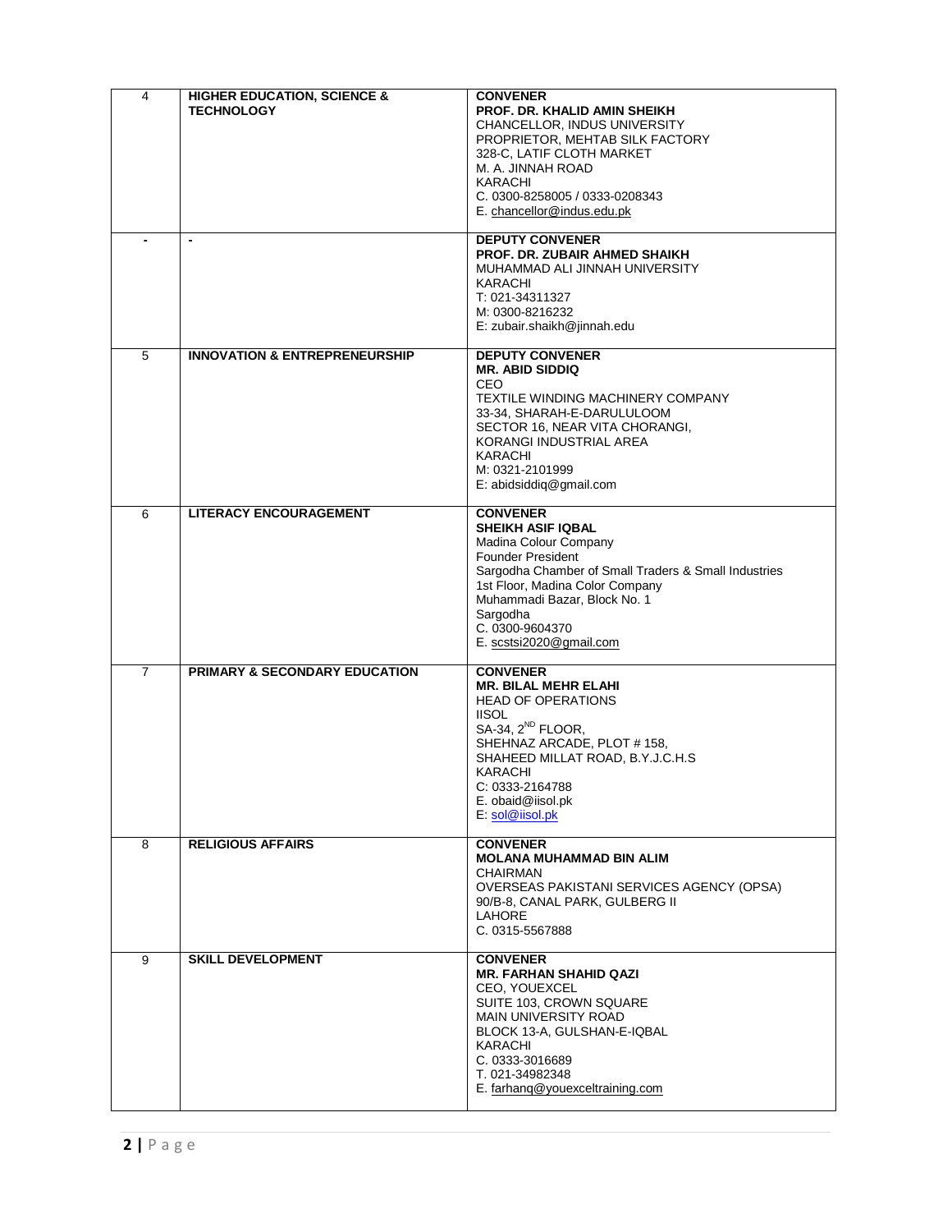| 4              | <b>HIGHER EDUCATION, SCIENCE &amp;</b><br><b>TECHNOLOGY</b> | <b>CONVENER</b><br><b>PROF. DR. KHALID AMIN SHEIKH</b><br>CHANCELLOR, INDUS UNIVERSITY<br>PROPRIETOR, MEHTAB SILK FACTORY<br>328-C, LATIF CLOTH MARKET<br>M. A. JINNAH ROAD<br>KARACHI<br>C. 0300-8258005 / 0333-0208343<br>E. chancellor@indus.edu.pk                                |
|----------------|-------------------------------------------------------------|---------------------------------------------------------------------------------------------------------------------------------------------------------------------------------------------------------------------------------------------------------------------------------------|
|                | $\blacksquare$                                              | <b>DEPUTY CONVENER</b><br><b>PROF. DR. ZUBAIR AHMED SHAIKH</b><br>MUHAMMAD ALI JINNAH UNIVERSITY<br>KARACHI<br>T: 021-34311327<br>M: 0300-8216232<br>E: zubair.shaikh@jinnah.edu                                                                                                      |
| 5              | <b>INNOVATION &amp; ENTREPRENEURSHIP</b>                    | <b>DEPUTY CONVENER</b><br><b>MR. ABID SIDDIQ</b><br><b>CEO</b><br>TEXTILE WINDING MACHINERY COMPANY<br>33-34, SHARAH-E-DARULULOOM<br>SECTOR 16, NEAR VITA CHORANGI,<br>KORANGI INDUSTRIAL AREA<br>KARACHI<br>M: 0321-2101999<br>E: abidsiddiq@gmail.com                               |
| 6              | <b>LITERACY ENCOURAGEMENT</b>                               | <b>CONVENER</b><br><b>SHEIKH ASIF IQBAL</b><br>Madina Colour Company<br><b>Founder President</b><br>Sargodha Chamber of Small Traders & Small Industries<br>1st Floor, Madina Color Company<br>Muhammadi Bazar, Block No. 1<br>Sargodha<br>C. 0300-9604370<br>E. scstsi2020@gmail.com |
| $\overline{7}$ | PRIMARY & SECONDARY EDUCATION                               | <b>CONVENER</b><br><b>MR. BILAL MEHR ELAHI</b><br><b>HEAD OF OPERATIONS</b><br><b>IISOL</b><br>SA-34, 2 <sup>ND</sup> FLOOR,<br>SHEHNAZ ARCADE, PLOT #158,<br>SHAHEED MILLAT ROAD, B.Y.J.C.H.S<br>KARACHI<br>C: 0333-2164788<br>E. obaid@iisol.pk<br>E: sol@iisol.pk                  |
| 8              | <b>RELIGIOUS AFFAIRS</b>                                    | <b>CONVENER</b><br><b>MOLANA MUHAMMAD BIN ALIM</b><br><b>CHAIRMAN</b><br>OVERSEAS PAKISTANI SERVICES AGENCY (OPSA)<br>90/B-8, CANAL PARK, GULBERG II<br>LAHORE<br>C. 0315-5567888                                                                                                     |
| 9              | <b>SKILL DEVELOPMENT</b>                                    | <b>CONVENER</b><br><b>MR. FARHAN SHAHID QAZI</b><br><b>CEO, YOUEXCEL</b><br>SUITE 103, CROWN SQUARE<br><b>MAIN UNIVERSITY ROAD</b><br>BLOCK 13-A, GULSHAN-E-IQBAL<br>KARACHI<br>C. 0333-3016689<br>T. 021-34982348<br>E. farhang@youexceltraining.com                                 |